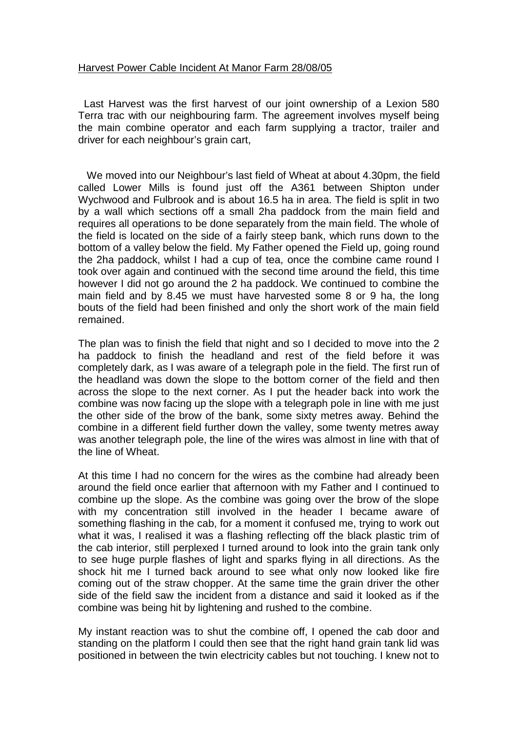## Harvest Power Cable Incident At Manor Farm 28/08/05

 Last Harvest was the first harvest of our joint ownership of a Lexion 580 Terra trac with our neighbouring farm. The agreement involves myself being the main combine operator and each farm supplying a tractor, trailer and driver for each neighbour's grain cart,

 We moved into our Neighbour's last field of Wheat at about 4.30pm, the field called Lower Mills is found just off the A361 between Shipton under Wychwood and Fulbrook and is about 16.5 ha in area. The field is split in two by a wall which sections off a small 2ha paddock from the main field and requires all operations to be done separately from the main field. The whole of the field is located on the side of a fairly steep bank, which runs down to the bottom of a valley below the field. My Father opened the Field up, going round the 2ha paddock, whilst I had a cup of tea, once the combine came round I took over again and continued with the second time around the field, this time however I did not go around the 2 ha paddock. We continued to combine the main field and by 8.45 we must have harvested some 8 or 9 ha, the long bouts of the field had been finished and only the short work of the main field remained.

The plan was to finish the field that night and so I decided to move into the 2 ha paddock to finish the headland and rest of the field before it was completely dark, as I was aware of a telegraph pole in the field. The first run of the headland was down the slope to the bottom corner of the field and then across the slope to the next corner. As I put the header back into work the combine was now facing up the slope with a telegraph pole in line with me just the other side of the brow of the bank, some sixty metres away. Behind the combine in a different field further down the valley, some twenty metres away was another telegraph pole, the line of the wires was almost in line with that of the line of Wheat.

At this time I had no concern for the wires as the combine had already been around the field once earlier that afternoon with my Father and I continued to combine up the slope. As the combine was going over the brow of the slope with my concentration still involved in the header I became aware of something flashing in the cab, for a moment it confused me, trying to work out what it was, I realised it was a flashing reflecting off the black plastic trim of the cab interior, still perplexed I turned around to look into the grain tank only to see huge purple flashes of light and sparks flying in all directions. As the shock hit me I turned back around to see what only now looked like fire coming out of the straw chopper. At the same time the grain driver the other side of the field saw the incident from a distance and said it looked as if the combine was being hit by lightening and rushed to the combine.

My instant reaction was to shut the combine off, I opened the cab door and standing on the platform I could then see that the right hand grain tank lid was positioned in between the twin electricity cables but not touching. I knew not to